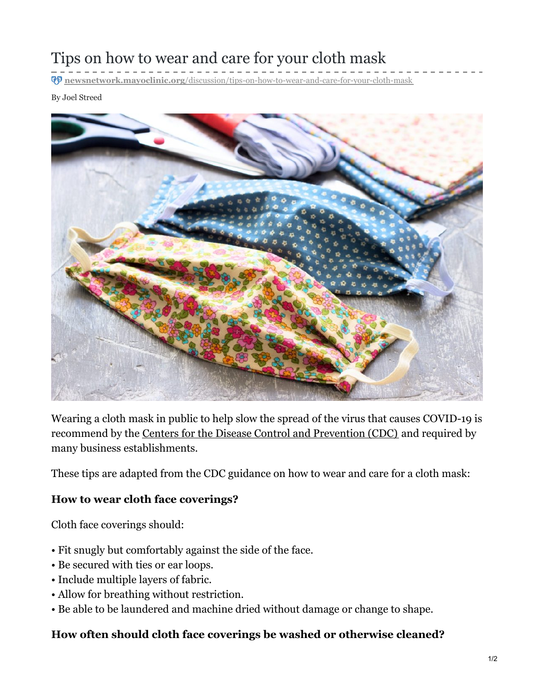# Tips on how to wear and care for your cloth mask

**newsnetwork.mayoclinic.org**[/discussion/tips-on-how-to-wear-and-care-for-your-cloth-mask](https://newsnetwork.mayoclinic.org/discussion/tips-on-how-to-wear-and-care-for-your-cloth-mask/)

By Joel Streed



Wearing a cloth mask in public to help slow the spread of the virus that causes COVID-19 is recommend by the Centers for the Disease Control and [Prevention](https://www.cdc.gov/coronavirus/2019-ncov/prevent-getting-sick/diy-cloth-face-coverings.html) (CDC) and required by many business establishments.

These tips are adapted from the CDC guidance on how to wear and care for a cloth mask:

#### **How to wear cloth face coverings?**

Cloth face coverings should:

- Fit snugly but comfortably against the side of the face.
- Be secured with ties or ear loops.
- Include multiple layers of fabric.
- Allow for breathing without restriction.
- Be able to be laundered and machine dried without damage or change to shape.

#### **How often should cloth face coverings be washed or otherwise cleaned?**